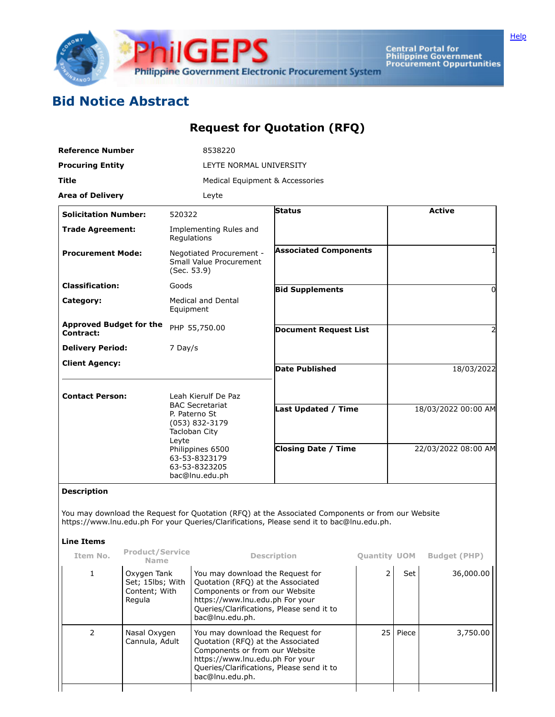

Central Portal for<br>Philippine Government<br>Procurement Oppurtunities

## **Bid Notice Abstract**

## **Request for Quotation (RFQ)**

| <b>Reference Number</b>                     |                                         | 8538220                                                                       |                                                                                                                                                                                                |                     |                     |                     |  |
|---------------------------------------------|-----------------------------------------|-------------------------------------------------------------------------------|------------------------------------------------------------------------------------------------------------------------------------------------------------------------------------------------|---------------------|---------------------|---------------------|--|
| <b>Procuring Entity</b>                     |                                         | LEYTE NORMAL UNIVERSITY                                                       |                                                                                                                                                                                                |                     |                     |                     |  |
| Title                                       |                                         |                                                                               | Medical Equipment & Accessories                                                                                                                                                                |                     |                     |                     |  |
| <b>Area of Delivery</b>                     |                                         | Leyte                                                                         |                                                                                                                                                                                                |                     |                     |                     |  |
| <b>Solicitation Number:</b>                 |                                         | 520322                                                                        | Status                                                                                                                                                                                         |                     |                     | <b>Active</b>       |  |
| <b>Trade Agreement:</b>                     |                                         | Implementing Rules and<br>Regulations                                         |                                                                                                                                                                                                |                     |                     |                     |  |
| <b>Procurement Mode:</b>                    |                                         | Negotiated Procurement -<br>Small Value Procurement<br>(Sec. 53.9)            | <b>Associated Components</b>                                                                                                                                                                   |                     |                     | 1                   |  |
| <b>Classification:</b>                      |                                         | Goods                                                                         | <b>Bid Supplements</b>                                                                                                                                                                         |                     |                     | 0                   |  |
| Category:                                   |                                         | <b>Medical and Dental</b><br>Equipment                                        |                                                                                                                                                                                                |                     |                     |                     |  |
| <b>Approved Budget for the</b><br>Contract: |                                         | PHP 55,750.00                                                                 | <b>Document Request List</b>                                                                                                                                                                   |                     |                     | 2                   |  |
| <b>Delivery Period:</b>                     |                                         | 7 Day/s                                                                       |                                                                                                                                                                                                |                     |                     |                     |  |
| <b>Client Agency:</b>                       |                                         |                                                                               | <b>Date Published</b>                                                                                                                                                                          |                     |                     | 18/03/2022          |  |
| <b>Contact Person:</b>                      |                                         | Leah Kierulf De Paz                                                           |                                                                                                                                                                                                |                     |                     |                     |  |
|                                             |                                         | <b>BAC Secretariat</b><br>P. Paterno St<br>(053) 832-3179<br>Tacloban City    | <b>Last Updated / Time</b>                                                                                                                                                                     |                     |                     | 18/03/2022 00:00 AM |  |
|                                             |                                         | Leyte<br>Philippines 6500<br>63-53-8323179<br>63-53-8323205<br>bac@lnu.edu.ph | <b>Closing Date / Time</b>                                                                                                                                                                     |                     | 22/03/2022 08:00 AM |                     |  |
| <b>Description</b>                          |                                         |                                                                               |                                                                                                                                                                                                |                     |                     |                     |  |
|                                             |                                         |                                                                               | You may download the Request for Quotation (RFQ) at the Associated Components or from our Website<br>https://www.lnu.edu.ph For your Queries/Clarifications, Please send it to bac@lnu.edu.ph. |                     |                     |                     |  |
| <b>Line Items</b>                           |                                         |                                                                               |                                                                                                                                                                                                |                     |                     |                     |  |
| Item No.                                    | <b>Product/Service</b><br><b>Name</b>   |                                                                               | <b>Description</b>                                                                                                                                                                             | <b>Ouantity UOM</b> |                     | <b>Budget (PHP)</b> |  |
| $\mathbf{1}$                                | Oxygen Tank<br>$C_0$ t: 1 $E$ lbe: With | You may download the Request for<br>Quetation (DEO) at the Accoriated         |                                                                                                                                                                                                | $\overline{2}$      | Set                 | 36,000.00           |  |

|   | Oxygen Tank<br>Set; 15lbs; With<br>Content; With<br>Regula | You may download the Request for<br>Quotation (RFQ) at the Associated<br>Components or from our Website<br>https://www.lnu.edu.ph For your<br>Queries/Clarifications, Please send it to<br>bac@lnu.edu.ph. | ∍  | Set   | 36,000.00 |
|---|------------------------------------------------------------|------------------------------------------------------------------------------------------------------------------------------------------------------------------------------------------------------------|----|-------|-----------|
| 2 | Nasal Oxygen<br>Cannula, Adult                             | You may download the Request for<br>Quotation (RFQ) at the Associated<br>Components or from our Website<br>https://www.lnu.edu.ph For your<br>Queries/Clarifications, Please send it to<br>bac@lnu.edu.ph. | 25 | Piece | 3,750.00  |
|   |                                                            |                                                                                                                                                                                                            |    |       |           |